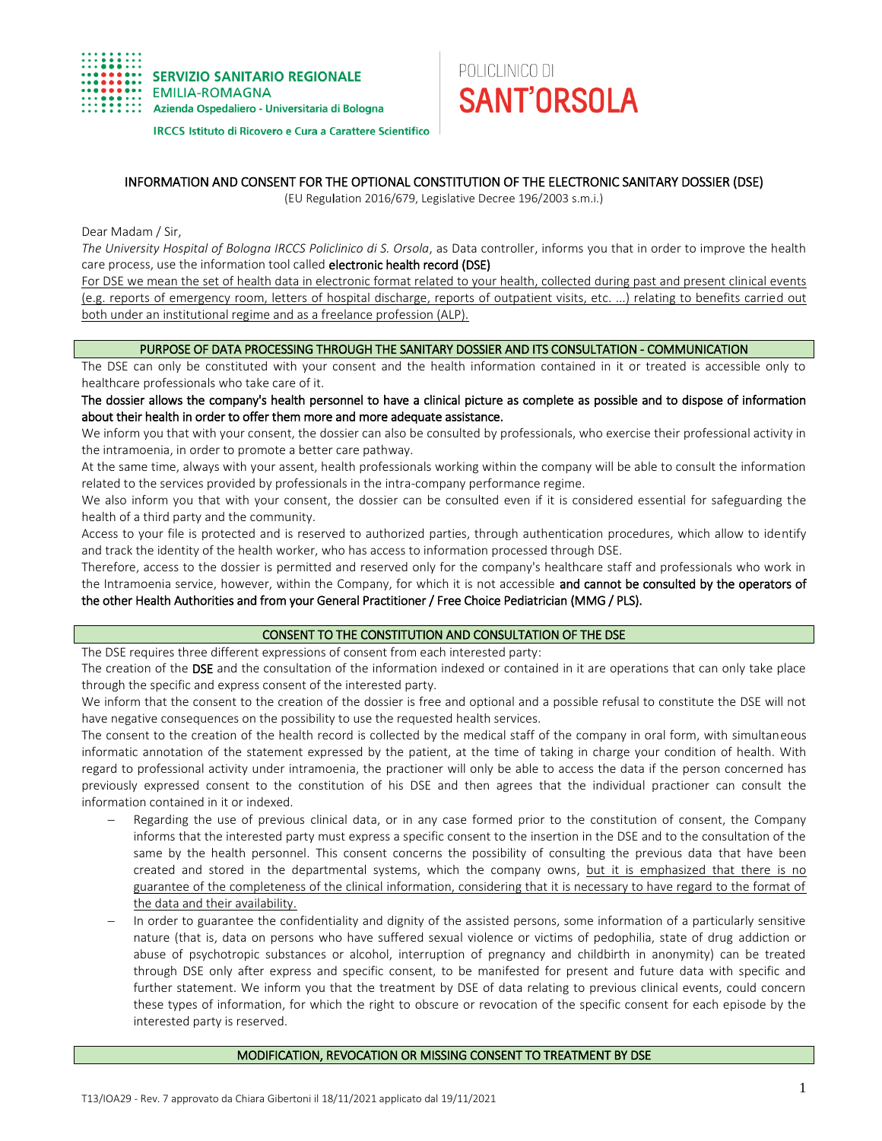

**IRCCS Istituto di Ricovero e Cura a Carattere Scientifico** 

# POLICLINICO DI **SANT'ORSOLA**

## INFORMATION AND CONSENT FOR THE OPTIONAL CONSTITUTION OF THE ELECTRONIC SANITARY DOSSIER (DSE)

(EU Regulation 2016/679, Legislative Decree 196/2003 s.m.i.)

Dear Madam / Sir,

*The University Hospital of Bologna IRCCS Policlinico di S. Orsola*, as Data controller, informs you that in order to improve the health care process, use the information tool called electronic health record (DSE)

For DSE we mean the set of health data in electronic format related to your health, collected during past and present clinical events (e.g. reports of emergency room, letters of hospital discharge, reports of outpatient visits, etc. ...) relating to benefits carried out both under an institutional regime and as a freelance profession (ALP).

## PURPOSE OF DATA PROCESSING THROUGH THE SANITARY DOSSIER AND ITS CONSULTATION - COMMUNICATION

The DSE can only be constituted with your consent and the health information contained in it or treated is accessible only to healthcare professionals who take care of it.

The dossier allows the company's health personnel to have a clinical picture as complete as possible and to dispose of information about their health in order to offer them more and more adequate assistance.

We inform you that with your consent, the dossier can also be consulted by professionals, who exercise their professional activity in the intramoenia, in order to promote a better care pathway.

At the same time, always with your assent, health professionals working within the company will be able to consult the information related to the services provided by professionals in the intra-company performance regime.

We also inform you that with your consent, the dossier can be consulted even if it is considered essential for safeguarding the health of a third party and the community.

Access to your file is protected and is reserved to authorized parties, through authentication procedures, which allow to identify and track the identity of the health worker, who has access to information processed through DSE.

Therefore, access to the dossier is permitted and reserved only for the company's healthcare staff and professionals who work in the Intramoenia service, however, within the Company, for which it is not accessible and cannot be consulted by the operators of the other Health Authorities and from your General Practitioner / Free Choice Pediatrician (MMG / PLS).

## CONSENT TO THE CONSTITUTION AND CONSULTATION OF THE DSE

The DSE requires three different expressions of consent from each interested party:

The creation of the DSE and the consultation of the information indexed or contained in it are operations that can only take place through the specific and express consent of the interested party.

We inform that the consent to the creation of the dossier is free and optional and a possible refusal to constitute the DSE will not have negative consequences on the possibility to use the requested health services.

The consent to the creation of the health record is collected by the medical staff of the company in oral form, with simultaneous informatic annotation of the statement expressed by the patient, at the time of taking in charge your condition of health. With regard to professional activity under intramoenia, the practioner will only be able to access the data if the person concerned has previously expressed consent to the constitution of his DSE and then agrees that the individual practioner can consult the information contained in it or indexed.

- Regarding the use of previous clinical data, or in any case formed prior to the constitution of consent, the Company informs that the interested party must express a specific consent to the insertion in the DSE and to the consultation of the same by the health personnel. This consent concerns the possibility of consulting the previous data that have been created and stored in the departmental systems, which the company owns, but it is emphasized that there is no guarantee of the completeness of the clinical information, considering that it is necessary to have regard to the format of the data and their availability.
- In order to guarantee the confidentiality and dignity of the assisted persons, some information of a particularly sensitive nature (that is, data on persons who have suffered sexual violence or victims of pedophilia, state of drug addiction or abuse of psychotropic substances or alcohol, interruption of pregnancy and childbirth in anonymity) can be treated through DSE only after express and specific consent, to be manifested for present and future data with specific and further statement. We inform you that the treatment by DSE of data relating to previous clinical events, could concern these types of information, for which the right to obscure or revocation of the specific consent for each episode by the interested party is reserved.

## MODIFICATION, REVOCATION OR MISSING CONSENT TO TREATMENT BY DSE